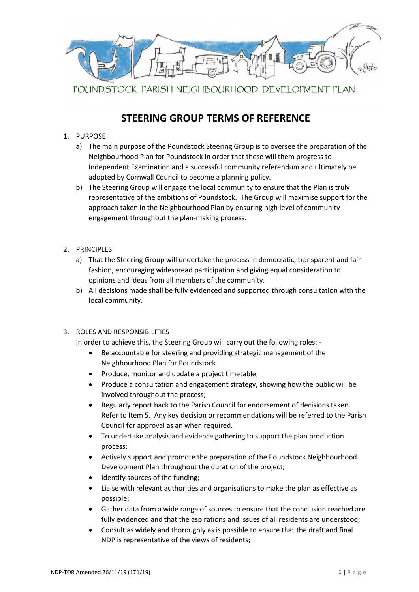

# **STEERING GROUP TERMS OF REFERENCE**

### 1. PURPOSE

- a) The main purpose of the Poundstock Steering Group is to oversee the preparation of the Neighbourhood Plan for Poundstock in order that these will them progress to Independent Examination and a successful community referendum and ultimately be adopted by Cornwall Council to become a planning policy.
- b) The Steering Group will engage the local community to ensure that the Plan is truly representative of the ambitions of Poundstock. The Group will maximise support for the approach taken in the Neighbourhood Plan by ensuring high level of community engagement throughout the plan-making process.
- 2. PRINCIPLES
	- a) That the Steering Group will undertake the process in democratic, transparent and fair fashion, encouraging widespread participation and giving equal consideration to opinions and ideas from all members of the community.
	- b) All decisions made shall be fully evidenced and supported through consultation with the local community.

#### 3. ROLES AND RESPONSIBILITIES

In order to achieve this, the Steering Group will carry out the following roles: -

- Be accountable for steering and providing strategic management of the Neighbourhood Plan for Poundstock
- Produce, monitor and update a project timetable;
- Produce a consultation and engagement strategy, showing how the public will be involved throughout the process;
- Regularly report back to the Parish Council for endorsement of decisions taken. Refer to Item 5. Any key decision or recommendations will be referred to the Parish Council for approval as an when required.
- To undertake analysis and evidence gathering to support the plan production process;
- Actively support and promote the preparation of the Poundstock Neighbourhood Development Plan throughout the duration of the project;
- Identify sources of the funding;
- Liaise with relevant authorities and organisations to make the plan as effective as possible;
- Gather data from a wide range of sources to ensure that the conclusion reached are fully evidenced and that the aspirations and issues of all residents are understood;
- Consult as widely and thoroughly as is possible to ensure that the draft and final NDP is representative of the views of residents;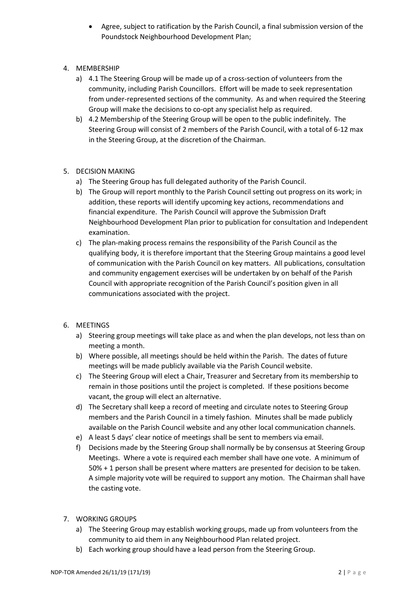- Agree, subject to ratification by the Parish Council, a final submission version of the Poundstock Neighbourhood Development Plan;
- 4. MEMBERSHIP
	- a) 4.1 The Steering Group will be made up of a cross-section of volunteers from the community, including Parish Councillors. Effort will be made to seek representation from under-represented sections of the community. As and when required the Steering Group will make the decisions to co-opt any specialist help as required.
	- b) 4.2 Membership of the Steering Group will be open to the public indefinitely. The Steering Group will consist of 2 members of the Parish Council, with a total of 6-12 max in the Steering Group, at the discretion of the Chairman.
- 5. DECISION MAKING
	- a) The Steering Group has full delegated authority of the Parish Council.
	- b) The Group will report monthly to the Parish Council setting out progress on its work; in addition, these reports will identify upcoming key actions, recommendations and financial expenditure. The Parish Council will approve the Submission Draft Neighbourhood Development Plan prior to publication for consultation and Independent examination.
	- c) The plan-making process remains the responsibility of the Parish Council as the qualifying body, it is therefore important that the Steering Group maintains a good level of communication with the Parish Council on key matters. All publications, consultation and community engagement exercises will be undertaken by on behalf of the Parish Council with appropriate recognition of the Parish Council's position given in all communications associated with the project.
- 6. MEETINGS
	- a) Steering group meetings will take place as and when the plan develops, not less than on meeting a month.
	- b) Where possible, all meetings should be held within the Parish. The dates of future meetings will be made publicly available via the Parish Council website.
	- c) The Steering Group will elect a Chair, Treasurer and Secretary from its membership to remain in those positions until the project is completed. If these positions become vacant, the group will elect an alternative.
	- d) The Secretary shall keep a record of meeting and circulate notes to Steering Group members and the Parish Council in a timely fashion. Minutes shall be made publicly available on the Parish Council website and any other local communication channels.
	- e) A least 5 days' clear notice of meetings shall be sent to members via email.
	- f) Decisions made by the Steering Group shall normally be by consensus at Steering Group Meetings. Where a vote is required each member shall have one vote. A minimum of 50% + 1 person shall be present where matters are presented for decision to be taken. A simple majority vote will be required to support any motion. The Chairman shall have the casting vote.
- 7. WORKING GROUPS
	- a) The Steering Group may establish working groups, made up from volunteers from the community to aid them in any Neighbourhood Plan related project.
	- b) Each working group should have a lead person from the Steering Group.